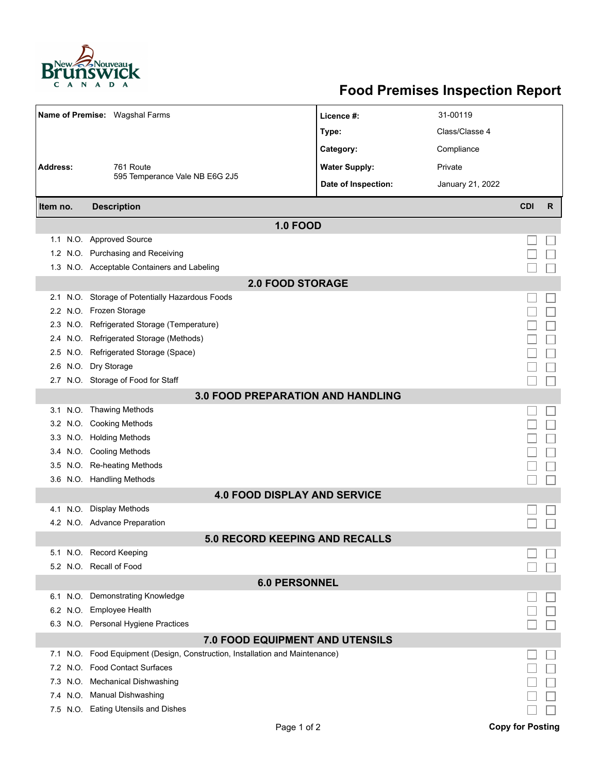

## **Food Premises Inspection Report**

| Name of Premise: Wagshal Farms      |                                                                     | Licence #:           | 31-00119         |                         |   |  |  |  |  |
|-------------------------------------|---------------------------------------------------------------------|----------------------|------------------|-------------------------|---|--|--|--|--|
|                                     |                                                                     | Type:                | Class/Classe 4   |                         |   |  |  |  |  |
|                                     |                                                                     | Category:            | Compliance       |                         |   |  |  |  |  |
| <b>Address:</b>                     | 761 Route                                                           | <b>Water Supply:</b> | Private          |                         |   |  |  |  |  |
|                                     | 595 Temperance Vale NB E6G 2J5                                      | Date of Inspection:  | January 21, 2022 |                         |   |  |  |  |  |
|                                     |                                                                     |                      |                  |                         |   |  |  |  |  |
| Item no.                            | <b>Description</b>                                                  |                      |                  | <b>CDI</b>              | R |  |  |  |  |
| <b>1.0 FOOD</b>                     |                                                                     |                      |                  |                         |   |  |  |  |  |
|                                     | 1.1 N.O. Approved Source                                            |                      |                  |                         |   |  |  |  |  |
|                                     | 1.2 N.O. Purchasing and Receiving                                   |                      |                  |                         |   |  |  |  |  |
|                                     | 1.3 N.O. Acceptable Containers and Labeling                         |                      |                  |                         |   |  |  |  |  |
| <b>2.0 FOOD STORAGE</b>             |                                                                     |                      |                  |                         |   |  |  |  |  |
| 2.1                                 | N.O. Storage of Potentially Hazardous Foods                         |                      |                  |                         |   |  |  |  |  |
|                                     | 2.2 N.O. Frozen Storage                                             |                      |                  |                         |   |  |  |  |  |
| 2.3                                 | N.O. Refrigerated Storage (Temperature)                             |                      |                  |                         |   |  |  |  |  |
| 2.4                                 | N.O. Refrigerated Storage (Methods)                                 |                      |                  |                         |   |  |  |  |  |
|                                     | 2.5 N.O. Refrigerated Storage (Space)                               |                      |                  |                         |   |  |  |  |  |
| 2.6                                 | N.O. Dry Storage                                                    |                      |                  |                         |   |  |  |  |  |
|                                     | 2.7 N.O. Storage of Food for Staff                                  |                      |                  |                         |   |  |  |  |  |
| 3.0 FOOD PREPARATION AND HANDLING   |                                                                     |                      |                  |                         |   |  |  |  |  |
|                                     | 3.1 N.O. Thawing Methods                                            |                      |                  |                         |   |  |  |  |  |
|                                     | 3.2 N.O. Cooking Methods                                            |                      |                  |                         |   |  |  |  |  |
|                                     | 3.3 N.O. Holding Methods                                            |                      |                  |                         |   |  |  |  |  |
|                                     | 3.4 N.O. Cooling Methods                                            |                      |                  |                         |   |  |  |  |  |
|                                     | 3.5 N.O. Re-heating Methods                                         |                      |                  |                         |   |  |  |  |  |
|                                     | 3.6 N.O. Handling Methods                                           |                      |                  |                         |   |  |  |  |  |
| <b>4.0 FOOD DISPLAY AND SERVICE</b> |                                                                     |                      |                  |                         |   |  |  |  |  |
| 4.1                                 | N.O. Display Methods                                                |                      |                  |                         |   |  |  |  |  |
|                                     | 4.2 N.O. Advance Preparation                                        |                      |                  |                         |   |  |  |  |  |
| 5.0 RECORD KEEPING AND RECALLS      |                                                                     |                      |                  |                         |   |  |  |  |  |
|                                     | 5.1 N.O. Record Keeping                                             |                      |                  |                         |   |  |  |  |  |
|                                     | 5.2 N.O. Recall of Food                                             |                      |                  |                         |   |  |  |  |  |
| <b>6.0 PERSONNEL</b>                |                                                                     |                      |                  |                         |   |  |  |  |  |
| 6.1                                 | N.O. Demonstrating Knowledge                                        |                      |                  |                         |   |  |  |  |  |
|                                     | 6.2 N.O. Employee Health                                            |                      |                  |                         |   |  |  |  |  |
|                                     | 6.3 N.O. Personal Hygiene Practices                                 |                      |                  |                         |   |  |  |  |  |
|                                     | 7.0 FOOD EQUIPMENT AND UTENSILS                                     |                      |                  |                         |   |  |  |  |  |
| N.O.<br>7.1                         | Food Equipment (Design, Construction, Installation and Maintenance) |                      |                  |                         |   |  |  |  |  |
| 7.2                                 | N.O. Food Contact Surfaces                                          |                      |                  |                         |   |  |  |  |  |
|                                     | 7.3 N.O. Mechanical Dishwashing                                     |                      |                  |                         |   |  |  |  |  |
|                                     | 7.4 N.O. Manual Dishwashing                                         |                      |                  |                         |   |  |  |  |  |
|                                     | 7.5 N.O. Eating Utensils and Dishes                                 |                      |                  |                         |   |  |  |  |  |
|                                     | Page 1 of 2                                                         |                      |                  | <b>Copy for Posting</b> |   |  |  |  |  |